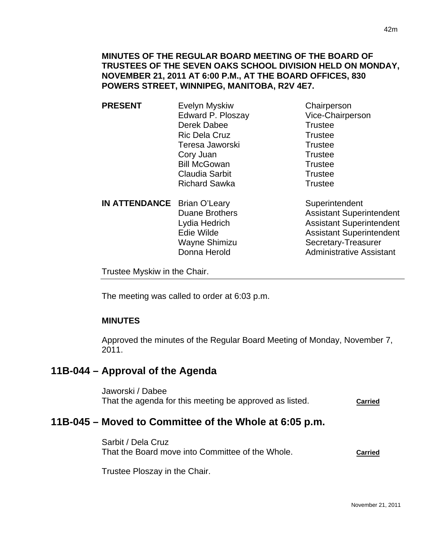## **MINUTES OF THE REGULAR BOARD MEETING OF THE BOARD OF TRUSTEES OF THE SEVEN OAKS SCHOOL DIVISION HELD ON MONDAY, NOVEMBER 21, 2011 AT 6:00 P.M., AT THE BOARD OFFICES, 830 POWERS STREET, WINNIPEG, MANITOBA, R2V 4E7.**

- **PRESENT** Evelyn Myskiw Chairperson Edward P. Ploszay Vice-Chairperson Derek Dabee Trustee Ric Dela Cruz Trustee Teresa Jaworski **Trustee** Cory Juan Trustee Bill McGowan Trustee Claudia Sarbit **Trustee** Richard Sawka Trustee
- **IN ATTENDANCE** Brian O'Leary Superintendent Donna Herold **Administrative Assistant**

Duane Brothers **Assistant Superintendent** Lydia Hedrich **Assistant Superintendent** Edie Wilde **Assistant Superintendent** Wayne Shimizu Secretary-Treasurer

Trustee Myskiw in the Chair.

The meeting was called to order at 6:03 p.m.

## **MINUTES**

Approved the minutes of the Regular Board Meeting of Monday, November 7, 2011.

## **11B-044 – Approval of the Agenda**

Jaworski / Dabee That the agenda for this meeting be approved as listed. **Carried**

# **11B-045 – Moved to Committee of the Whole at 6:05 p.m.**

Sarbit / Dela Cruz That the Board move into Committee of the Whole. **Carried**

Trustee Ploszay in the Chair.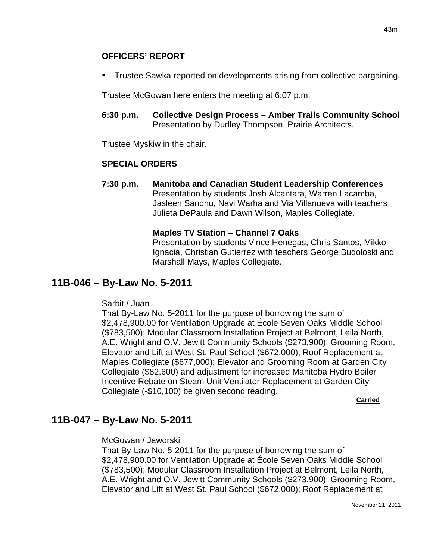## **OFFICERS' REPORT**

Trustee Sawka reported on developments arising from collective bargaining.

Trustee McGowan here enters the meeting at 6:07 p.m.

**6:30 p.m. Collective Design Process – Amber Trails Community School** Presentation by Dudley Thompson, Prairie Architects.

Trustee Myskiw in the chair.

## **SPECIAL ORDERS**

**7:30 p.m. Manitoba and Canadian Student Leadership Conferences**  Presentation by students Josh Alcantara, Warren Lacamba, Jasleen Sandhu, Navi Warha and Via Villanueva with teachers Julieta DePaula and Dawn Wilson, Maples Collegiate.

## **Maples TV Station – Channel 7 Oaks**

Presentation by students Vince Henegas, Chris Santos, Mikko Ignacia, Christian Gutierrez with teachers George Budoloski and Marshall Mays, Maples Collegiate.

# **11B-046 – By-Law No. 5-2011**

## Sarbit / Juan

That By-Law No. 5-2011 for the purpose of borrowing the sum of \$2,478,900.00 for Ventilation Upgrade at École Seven Oaks Middle School (\$783,500); Modular Classroom Installation Project at Belmont, Leila North, A.E. Wright and O.V. Jewitt Community Schools (\$273,900); Grooming Room, Elevator and Lift at West St. Paul School (\$672,000); Roof Replacement at Maples Collegiate (\$677,000); Elevator and Grooming Room at Garden City Collegiate (\$82,600) and adjustment for increased Manitoba Hydro Boiler Incentive Rebate on Steam Unit Ventilator Replacement at Garden City Collegiate (-\$10,100) be given second reading.

**Carried** 

# **11B-047 – By-Law No. 5-2011**

McGowan / Jaworski

That By-Law No. 5-2011 for the purpose of borrowing the sum of \$2,478,900.00 for Ventilation Upgrade at École Seven Oaks Middle School (\$783,500); Modular Classroom Installation Project at Belmont, Leila North, A.E. Wright and O.V. Jewitt Community Schools (\$273,900); Grooming Room, Elevator and Lift at West St. Paul School (\$672,000); Roof Replacement at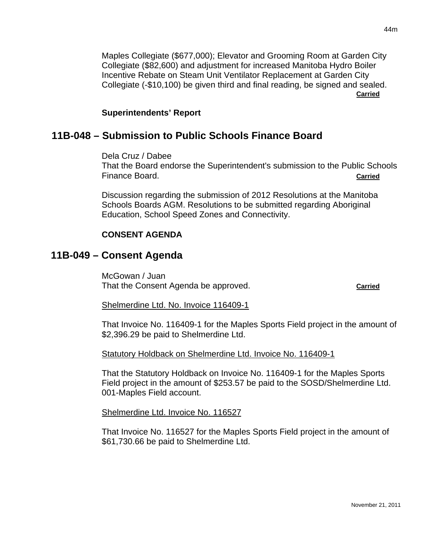Maples Collegiate (\$677,000); Elevator and Grooming Room at Garden City Collegiate (\$82,600) and adjustment for increased Manitoba Hydro Boiler Incentive Rebate on Steam Unit Ventilator Replacement at Garden City Collegiate (-\$10,100) be given third and final reading, be signed and sealed. **Carried**

#### **Superintendents' Report**

# **11B-048 – Submission to Public Schools Finance Board**

Dela Cruz / Dabee

That the Board endorse the Superintendent's submission to the Public Schools Finance Board. **Carried**

Discussion regarding the submission of 2012 Resolutions at the Manitoba Schools Boards AGM. Resolutions to be submitted regarding Aboriginal Education, School Speed Zones and Connectivity.

## **CONSENT AGENDA**

# **11B-049 – Consent Agenda**

McGowan / Juan That the Consent Agenda be approved. **Carried**

## Shelmerdine Ltd. No. Invoice 116409-1

That Invoice No. 116409-1 for the Maples Sports Field project in the amount of \$2,396.29 be paid to Shelmerdine Ltd.

Statutory Holdback on Shelmerdine Ltd. Invoice No. 116409-1

That the Statutory Holdback on Invoice No. 116409-1 for the Maples Sports Field project in the amount of \$253.57 be paid to the SOSD/Shelmerdine Ltd. 001-Maples Field account.

Shelmerdine Ltd. Invoice No. 116527

That Invoice No. 116527 for the Maples Sports Field project in the amount of \$61,730.66 be paid to Shelmerdine Ltd.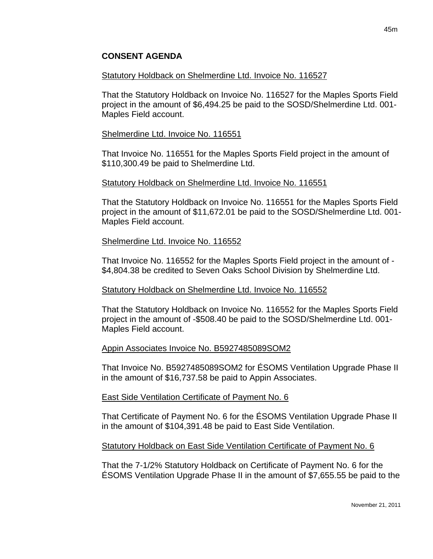## **CONSENT AGENDA**

#### Statutory Holdback on Shelmerdine Ltd. Invoice No. 116527

That the Statutory Holdback on Invoice No. 116527 for the Maples Sports Field project in the amount of \$6,494.25 be paid to the SOSD/Shelmerdine Ltd. 001- Maples Field account.

#### Shelmerdine Ltd. Invoice No. 116551

That Invoice No. 116551 for the Maples Sports Field project in the amount of \$110,300.49 be paid to Shelmerdine Ltd.

#### Statutory Holdback on Shelmerdine Ltd. Invoice No. 116551

That the Statutory Holdback on Invoice No. 116551 for the Maples Sports Field project in the amount of \$11,672.01 be paid to the SOSD/Shelmerdine Ltd. 001- Maples Field account.

#### Shelmerdine Ltd. Invoice No. 116552

That Invoice No. 116552 for the Maples Sports Field project in the amount of - \$4,804.38 be credited to Seven Oaks School Division by Shelmerdine Ltd.

#### Statutory Holdback on Shelmerdine Ltd. Invoice No. 116552

That the Statutory Holdback on Invoice No. 116552 for the Maples Sports Field project in the amount of -\$508.40 be paid to the SOSD/Shelmerdine Ltd. 001- Maples Field account.

## Appin Associates Invoice No. B5927485089SOM2

That Invoice No. B5927485089SOM2 for ÉSOMS Ventilation Upgrade Phase II in the amount of \$16,737.58 be paid to Appin Associates.

#### East Side Ventilation Certificate of Payment No. 6

That Certificate of Payment No. 6 for the ÉSOMS Ventilation Upgrade Phase II in the amount of \$104,391.48 be paid to East Side Ventilation.

#### Statutory Holdback on East Side Ventilation Certificate of Payment No. 6

That the 7-1/2% Statutory Holdback on Certificate of Payment No. 6 for the ÉSOMS Ventilation Upgrade Phase II in the amount of \$7,655.55 be paid to the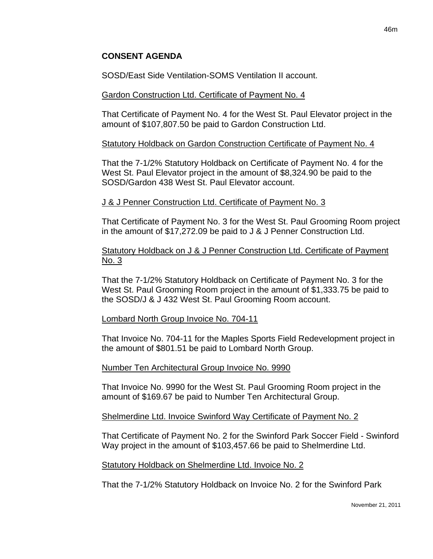SOSD/East Side Ventilation-SOMS Ventilation II account.

## Gardon Construction Ltd. Certificate of Payment No. 4

That Certificate of Payment No. 4 for the West St. Paul Elevator project in the amount of \$107,807.50 be paid to Gardon Construction Ltd.

## Statutory Holdback on Gardon Construction Certificate of Payment No. 4

That the 7-1/2% Statutory Holdback on Certificate of Payment No. 4 for the West St. Paul Elevator project in the amount of \$8,324.90 be paid to the SOSD/Gardon 438 West St. Paul Elevator account.

## J & J Penner Construction Ltd. Certificate of Payment No. 3

That Certificate of Payment No. 3 for the West St. Paul Grooming Room project in the amount of \$17,272.09 be paid to J & J Penner Construction Ltd.

## Statutory Holdback on J & J Penner Construction Ltd. Certificate of Payment No. 3

That the 7-1/2% Statutory Holdback on Certificate of Payment No. 3 for the West St. Paul Grooming Room project in the amount of \$1,333.75 be paid to the SOSD/J & J 432 West St. Paul Grooming Room account.

## Lombard North Group Invoice No. 704-11

That Invoice No. 704-11 for the Maples Sports Field Redevelopment project in the amount of \$801.51 be paid to Lombard North Group.

## Number Ten Architectural Group Invoice No. 9990

That Invoice No. 9990 for the West St. Paul Grooming Room project in the amount of \$169.67 be paid to Number Ten Architectural Group.

## Shelmerdine Ltd. Invoice Swinford Way Certificate of Payment No. 2

That Certificate of Payment No. 2 for the Swinford Park Soccer Field - Swinford Way project in the amount of \$103,457.66 be paid to Shelmerdine Ltd.

## Statutory Holdback on Shelmerdine Ltd. Invoice No. 2

That the 7-1/2% Statutory Holdback on Invoice No. 2 for the Swinford Park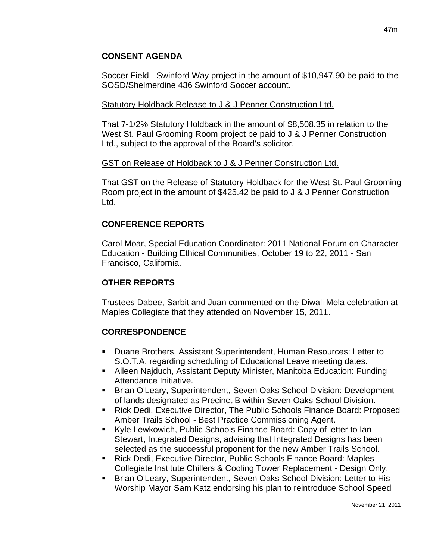## **CONSENT AGENDA**

Soccer Field - Swinford Way project in the amount of \$10,947.90 be paid to the SOSD/Shelmerdine 436 Swinford Soccer account.

#### Statutory Holdback Release to J & J Penner Construction Ltd.

That 7-1/2% Statutory Holdback in the amount of \$8,508.35 in relation to the West St. Paul Grooming Room project be paid to J & J Penner Construction Ltd., subject to the approval of the Board's solicitor.

#### GST on Release of Holdback to J & J Penner Construction Ltd.

That GST on the Release of Statutory Holdback for the West St. Paul Grooming Room project in the amount of \$425.42 be paid to J & J Penner Construction Ltd.

## **CONFERENCE REPORTS**

Carol Moar, Special Education Coordinator: 2011 National Forum on Character Education - Building Ethical Communities, October 19 to 22, 2011 - San Francisco, California.

## **OTHER REPORTS**

Trustees Dabee, Sarbit and Juan commented on the Diwali Mela celebration at Maples Collegiate that they attended on November 15, 2011.

## **CORRESPONDENCE**

- Duane Brothers, Assistant Superintendent, Human Resources: Letter to S.O.T.A. regarding scheduling of Educational Leave meeting dates.
- Aileen Najduch, Assistant Deputy Minister, Manitoba Education: Funding Attendance Initiative.
- Brian O'Leary, Superintendent, Seven Oaks School Division: Development of lands designated as Precinct B within Seven Oaks School Division.
- Rick Dedi, Executive Director, The Public Schools Finance Board: Proposed Amber Trails School - Best Practice Commissioning Agent.
- Kyle Lewkowich, Public Schools Finance Board: Copy of letter to Ian Stewart, Integrated Designs, advising that Integrated Designs has been selected as the successful proponent for the new Amber Trails School.
- Rick Dedi, Executive Director, Public Schools Finance Board: Maples Collegiate Institute Chillers & Cooling Tower Replacement - Design Only.
- Brian O'Leary, Superintendent, Seven Oaks School Division: Letter to His Worship Mayor Sam Katz endorsing his plan to reintroduce School Speed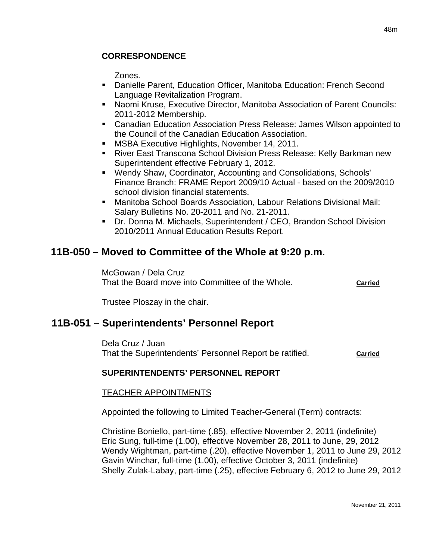## **CORRESPONDENCE**

Zones.

- Danielle Parent, Education Officer, Manitoba Education: French Second Language Revitalization Program.
- Naomi Kruse, Executive Director, Manitoba Association of Parent Councils: 2011-2012 Membership.
- Canadian Education Association Press Release: James Wilson appointed to the Council of the Canadian Education Association.
- **MSBA Executive Highlights, November 14, 2011.**
- River East Transcona School Division Press Release: Kelly Barkman new Superintendent effective February 1, 2012.
- Wendy Shaw, Coordinator, Accounting and Consolidations, Schools' Finance Branch: FRAME Report 2009/10 Actual - based on the 2009/2010 school division financial statements.
- Manitoba School Boards Association, Labour Relations Divisional Mail: Salary Bulletins No. 20-2011 and No. 21-2011.
- Dr. Donna M. Michaels, Superintendent / CEO, Brandon School Division 2010/2011 Annual Education Results Report.

# **11B-050 – Moved to Committee of the Whole at 9:20 p.m.**

McGowan / Dela Cruz That the Board move into Committee of the Whole. **Carried**

Trustee Ploszay in the chair.

# **11B-051 – Superintendents' Personnel Report**

Dela Cruz / Juan That the Superintendents' Personnel Report be ratified. **Carried**

## **SUPERINTENDENTS' PERSONNEL REPORT**

## TEACHER APPOINTMENTS

Appointed the following to Limited Teacher-General (Term) contracts:

Christine Boniello, part-time (.85), effective November 2, 2011 (indefinite) Eric Sung, full-time (1.00), effective November 28, 2011 to June, 29, 2012 Wendy Wightman, part-time (.20), effective November 1, 2011 to June 29, 2012 Gavin Winchar, full-time (1.00), effective October 3, 2011 (indefinite) Shelly Zulak-Labay, part-time (.25), effective February 6, 2012 to June 29, 2012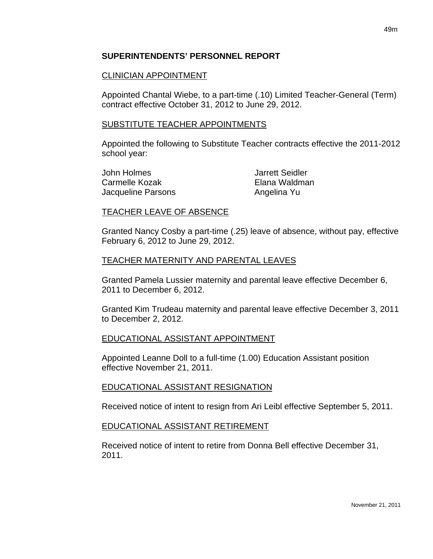## **SUPERINTENDENTS' PERSONNEL REPORT**

## CLINICIAN APPOINTMENT

Appointed Chantal Wiebe, to a part-time (.10) Limited Teacher-General (Term) contract effective October 31, 2012 to June 29, 2012.

## SUBSTITUTE TEACHER APPOINTMENTS

Appointed the following to Substitute Teacher contracts effective the 2011-2012 school year:

John Holmes Jarrett Seidler Carmelle Kozak Elana Waldman Jacqueline Parsons **Angelina Yu** 

## TEACHER LEAVE OF ABSENCE

Granted Nancy Cosby a part-time (.25) leave of absence, without pay, effective February 6, 2012 to June 29, 2012.

## TEACHER MATERNITY AND PARENTAL LEAVES

Granted Pamela Lussier maternity and parental leave effective December 6, 2011 to December 6, 2012.

Granted Kim Trudeau maternity and parental leave effective December 3, 2011 to December 2, 2012.

## EDUCATIONAL ASSISTANT APPOINTMENT

Appointed Leanne Doll to a full-time (1.00) Education Assistant position effective November 21, 2011.

## EDUCATIONAL ASSISTANT RESIGNATION

Received notice of intent to resign from Ari Leibl effective September 5, 2011.

## EDUCATIONAL ASSISTANT RETIREMENT

Received notice of intent to retire from Donna Bell effective December 31, 2011.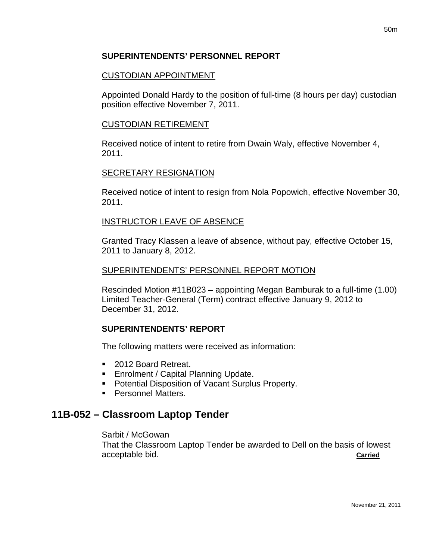## **SUPERINTENDENTS' PERSONNEL REPORT**

## CUSTODIAN APPOINTMENT

Appointed Donald Hardy to the position of full-time (8 hours per day) custodian position effective November 7, 2011.

## CUSTODIAN RETIREMENT

Received notice of intent to retire from Dwain Waly, effective November 4, 2011.

## SECRETARY RESIGNATION

Received notice of intent to resign from Nola Popowich, effective November 30, 2011.

## INSTRUCTOR LEAVE OF ABSENCE

Granted Tracy Klassen a leave of absence, without pay, effective October 15, 2011 to January 8, 2012.

## SUPERINTENDENTS' PERSONNEL REPORT MOTION

Rescinded Motion #11B023 – appointing Megan Bamburak to a full-time (1.00) Limited Teacher-General (Term) contract effective January 9, 2012 to December 31, 2012.

## **SUPERINTENDENTS' REPORT**

The following matters were received as information:

- 2012 Board Retreat.
- **Enrolment / Capital Planning Update.**
- **Potential Disposition of Vacant Surplus Property.**
- **Personnel Matters.**

# **11B-052 – Classroom Laptop Tender**

## Sarbit / McGowan

That the Classroom Laptop Tender be awarded to Dell on the basis of lowest acceptable bid. **Carried**